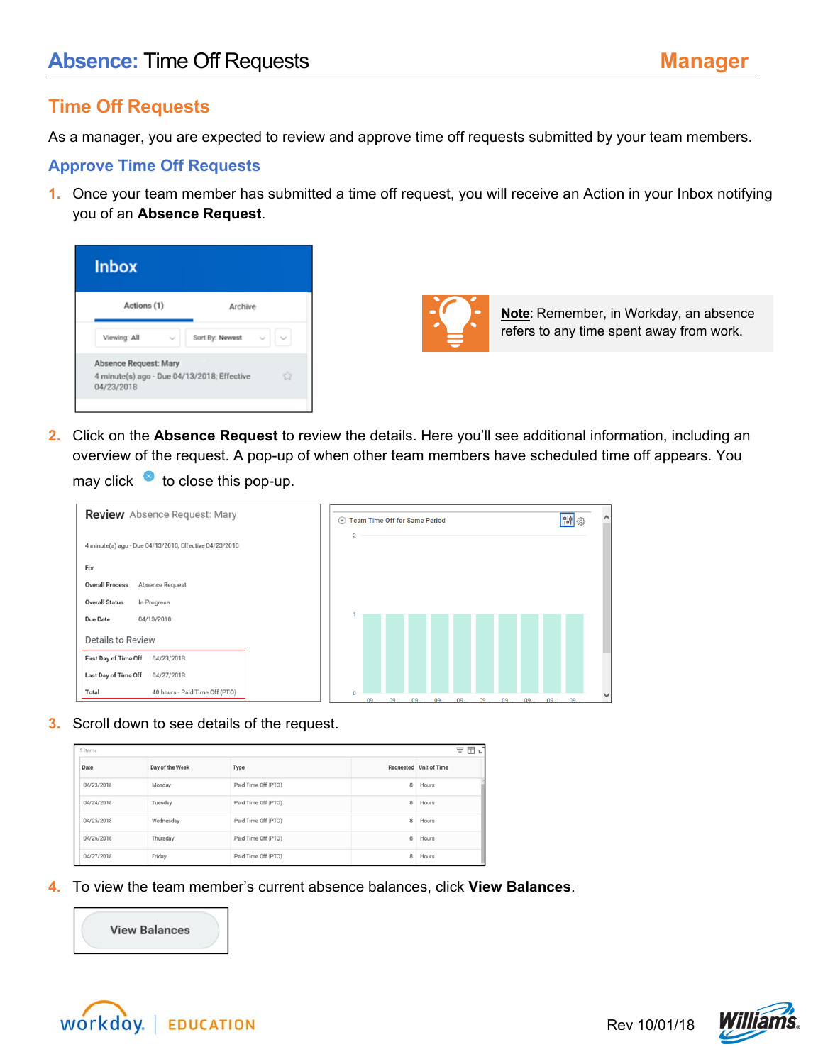## **Time Off Requests**

As a manager, you are expected to review and approve time off requests submitted by your team members.

## **Approve Time Off Requests**

**1.** Once your team member has submitted a time off request, you will receive an Action in your Inbox notifying you of an **Absence Request**.

| <b>Inbox</b>                                                                       |                 |
|------------------------------------------------------------------------------------|-----------------|
| Actions (1)                                                                        | Archive         |
| Viewing: All<br>$\sim$                                                             | Sort By: Newest |
| Absence Request: Mary<br>4 minute(s) ago - Due 04/13/2018; Effective<br>04/23/2018 | ŵ               |
|                                                                                    |                 |



**Note**: Remember, in Workday, an absence refers to any time spent away from work.

**2.** Click on the **Absence Request** to review the details. Here you'll see additional information, including an overview of the request. A pop-up of when other team members have scheduled time off appears. You

may click  $\bullet$  to close this pop-up.

| <b>Review</b> Absence Request: Mary                    | <b>Team Time Off for Same Period</b><br>$\left(\overline{\mathbf{v}}\right)$ |                |    |  |  |          |  |  |  |             | 開發 | $\wedge$ |  |
|--------------------------------------------------------|------------------------------------------------------------------------------|----------------|----|--|--|----------|--|--|--|-------------|----|----------|--|
| 4 minute(s) ago - Due 04/13/2018; Effective 04/23/2018 |                                                                              | $\overline{2}$ |    |  |  |          |  |  |  |             |    |          |  |
| For                                                    |                                                                              |                |    |  |  |          |  |  |  |             |    |          |  |
| <b>Overall Process</b><br>Absence Request              |                                                                              |                |    |  |  |          |  |  |  |             |    |          |  |
| <b>Overall Status</b><br>In Progress                   |                                                                              |                |    |  |  |          |  |  |  |             |    |          |  |
| Due Date<br>04/13/2018                                 |                                                                              |                |    |  |  |          |  |  |  |             |    |          |  |
| <b>Details to Review</b>                               |                                                                              |                |    |  |  |          |  |  |  |             |    |          |  |
| First Day of Time Off<br>04/23/2018                    |                                                                              |                |    |  |  |          |  |  |  |             |    |          |  |
| Last Day of Time Off<br>04/27/2018                     |                                                                              |                |    |  |  |          |  |  |  |             |    |          |  |
| 40 hours - Paid Time Off (PTO)<br>Total                |                                                                              | $\mathbf{0}$   | 09 |  |  | 09 09 09 |  |  |  | 09 09 09 09 | 09 | 09       |  |

**3.** Scroll down to see details of the request.

| 5 items    |                 |                     |   | ₹<br>⊞⊾                |
|------------|-----------------|---------------------|---|------------------------|
| Date       | Day of the Week | Type                |   | Requested Unit of Time |
| 04/23/2018 | Monday          | Paid Time Off (PTO) | 8 | Hours                  |
| 04/24/2018 | Tuesday         | Paid Time Off (PTO) | 8 | Hours                  |
| 04/25/2018 | Wednesday       | Paid Time Off (PTO) | 8 | Hours                  |
| 04/26/2018 | Thursday        | Paid Time Off (PTO) | 8 | Hours                  |
| 04/27/2018 | Friday          | Paid Time Off (PTO) | 8 | Hours                  |

**4.** To view the team member's current absence balances, click **View Balances**.





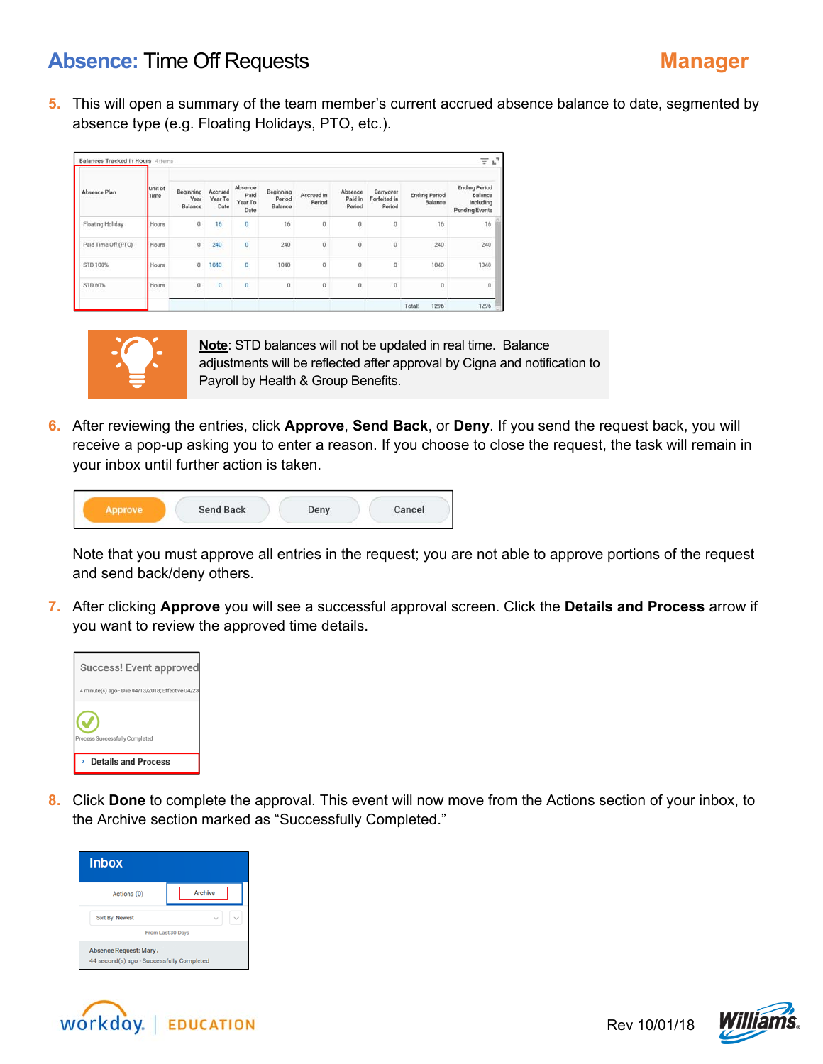**5.** This will open a summary of the team member's current accrued absence balance to date, segmented by absence type (e.g. Floating Holidays, PTO, etc.).

| Absence Plan        | Unit of<br>Time | Beginning<br>Year<br>Balance | Accrued<br>Year To<br>Date | Absence<br>Paid<br>Year To<br>Date | Beginning<br>Period<br>Balance | Accrued in<br>Period | Absence<br>Paid in<br>Period | Carryover<br>Forfeited in<br>Period | <b>Ending Period</b><br>Balance | <b>Ending Period</b><br>Balance<br>Including<br><b>Pending Events</b> |
|---------------------|-----------------|------------------------------|----------------------------|------------------------------------|--------------------------------|----------------------|------------------------------|-------------------------------------|---------------------------------|-----------------------------------------------------------------------|
| Floating Holiday    | Hours           | $\bf{0}$                     | 16                         | $\bf 0$                            | 16                             | $\bf 0$              | 0                            | $\,0\,$                             | 16                              | 16                                                                    |
| Paid Time Off (PTO) | Hours           | $\boldsymbol{0}$             | 240                        | O                                  | 240<br>- 7                     | $\sigma$             | $\overline{0}$               | $\boldsymbol{0}$                    | 240                             | 240                                                                   |
| STD 100%            | Hours           | $\circ$                      | 1040                       | o                                  | 1040                           | o                    | 0                            | $\mathbf{0}$                        | 1040                            | 1040                                                                  |
| STD 60%             | Hours           | $\bf{0}$                     | $\sigma$                   | $\bf{0}$                           | $\bf{0}$                       | $^{\circ}$           | $\bf{0}$                     | $\bf 0$                             | $\bf{0}$                        | $\bf{0}$                                                              |
|                     |                 |                              |                            |                                    |                                |                      |                              |                                     | Total:<br>1296                  | 1296                                                                  |



**Note**: STD balances will not be updated in real time. Balance adjustments will be reflected after approval by Cigna and notification to Payroll by Health & Group Benefits.

**6.** After reviewing the entries, click **Approve**, **Send Back**, or **Deny**. If you send the request back, you will receive a pop-up asking you to enter a reason. If you choose to close the request, the task will remain in your inbox until further action is taken.

|  | <b>Send Back</b><br>"저희가 아이가 보이지 않아서 사람이 있어요. 이 사람들은 어디 있어요. | Deny | Cancel |
|--|--------------------------------------------------------------|------|--------|
|--|--------------------------------------------------------------|------|--------|

Note that you must approve all entries in the request; you are not able to approve portions of the request and send back/deny others.

**7.** After clicking **Approve** you will see a successful approval screen. Click the **Details and Process** arrow if you want to review the approved time details.



**8.** Click **Done** to complete the approval. This event will now move from the Actions section of your inbox, to the Archive section marked as "Successfully Completed."





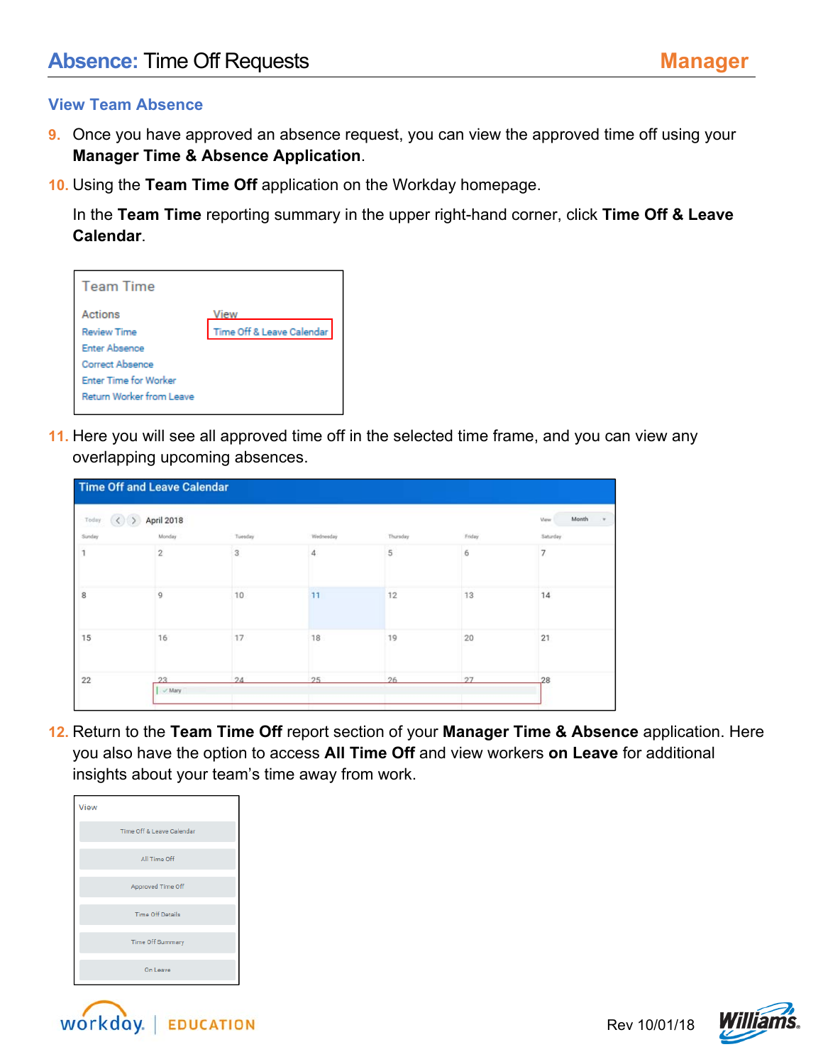## **View Team Absence**

- **9.** Once you have approved an absence request, you can view the approved time off using your **Manager Time & Absence Application**.
- **10.** Using the **Team Time Off** application on the Workday homepage.

In the **Team Time** reporting summary in the upper right-hand corner, click **Time Off & Leave Calendar**.

| <b>Team Time</b>                |                           |
|---------------------------------|---------------------------|
| Actions                         | View                      |
| <b>Review Time</b>              | Time Off & Leave Calendar |
| <b>Enter Absence</b>            |                           |
| <b>Correct Absence</b>          |                           |
| <b>Enter Time for Worker</b>    |                           |
| <b>Return Worker from Leave</b> |                           |
|                                 |                           |

**11.** Here you will see all approved time off in the selected time frame, and you can view any overlapping upcoming absences.

| Tuesday | Wednesday | Thursday       | Friday         | Month<br>View<br>$\mathbf{v}$ |
|---------|-----------|----------------|----------------|-------------------------------|
|         |           |                |                |                               |
|         |           |                |                | Saturday                      |
|         | 4         | $\sqrt{5}$     | 6              | 7                             |
|         |           |                |                | 14                            |
|         |           |                |                | 21                            |
|         |           |                |                | 28                            |
|         |           | 11<br>18<br>25 | 12<br>19<br>26 | 13<br>20<br>27                |

**12.** Return to the **Team Time Off** report section of your **Manager Time & Absence** application. Here you also have the option to access **All Time Off** and view workers **on Leave** for additional insights about your team's time away from work.